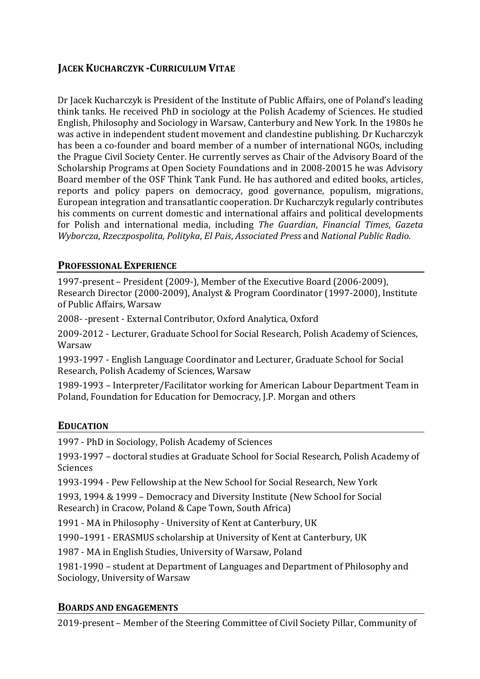# **JACEK KUCHARCZYK -CURRICULUM VITAE**

Dr Jacek Kucharczyk is President of the Institute of Public Affairs, one of Poland's leading think tanks. He received PhD in sociology at the Polish Academy of Sciences. He studied English, Philosophy and Sociology in Warsaw, Canterbury and New York. In the 1980s he was active in independent student movement and clandestine publishing. Dr Kucharczyk has been a co-founder and board member of a number of international NGOs, including the Prague Civil Society Center. He currently serves as Chair of the Advisory Board of the Scholarship Programs at Open Society Foundations and in 2008-20015 he was Advisory Board member of the OSF Think Tank Fund. He has authored and edited books, articles, reports and policy papers on democracy, good governance, populism, migrations, European integration and transatlantic cooperation. Dr Kucharczyk regularly contributes his comments on current domestic and international affairs and political developments for Polish and international media, including *The Guardian*, *Financial Times*, *Gazeta Wyborcza*, *Rzeczpospolita, Polityka*, *El Pais*, *Associated Press* and *National Public Radio*. 

## **PROFESSIONAL EXPERIENCE**

1997-present – President (2009-), Member of the Executive Board (2006-2009), Research Director (2000-2009), Analyst & Program Coordinator (1997-2000), Institute of Public Affairs, Warsaw

2008- -present - External Contributor, Oxford Analytica, Oxford

2009-2012 - Lecturer, Graduate School for Social Research, Polish Academy of Sciences, Warsaw

1993-1997 - English Language Coordinator and Lecturer, Graduate School for Social Research, Polish Academy of Sciences, Warsaw

1989-1993 – Interpreter/Facilitator working for American Labour Department Team in Poland, Foundation for Education for Democracy, J.P. Morgan and others

## **EDUCATION**

1997 - PhD in Sociology, Polish Academy of Sciences

1993-1997 – doctoral studies at Graduate School for Social Research, Polish Academy of Sciences

1993-1994 - Pew Fellowship at the New School for Social Research, New York

1993, 1994 & 1999 – Democracy and Diversity Institute (New School for Social Research) in Cracow, Poland & Cape Town, South Africa)

1991 - MA in Philosophy - University of Kent at Canterbury, UK

1990–1991 - ERASMUS scholarship at University of Kent at Canterbury, UK

1987 - MA in English Studies, University of Warsaw, Poland

1981-1990 – student at Department of Languages and Department of Philosophy and Sociology, University of Warsaw

### **BOARDS AND ENGAGEMENTS**

2019-present – Member of the Steering Committee of Civil Society Pillar, Community of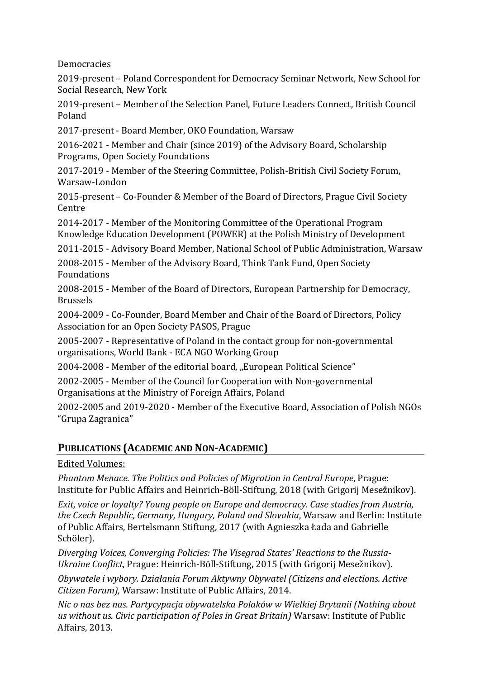Democracies

2019-present – Poland Correspondent for Democracy Seminar Network, New School for Social Research, New York

2019-present – Member of the Selection Panel, Future Leaders Connect, British Council Poland

2017-present - Board Member, OKO Foundation, Warsaw

2016-2021 - Member and Chair (since 2019) of the Advisory Board, Scholarship Programs, Open Society Foundations

2017-2019 - Member of the Steering Committee, Polish-British Civil Society Forum, Warsaw-London

2015-present – Co-Founder & Member of the Board of Directors, Prague Civil Society Centre

2014-2017 - Member of the Monitoring Committee of the Operational Program Knowledge Education Development (POWER) at the Polish Ministry of Development

2011-2015 - Advisory Board Member, National School of Public Administration, Warsaw

2008-2015 - Member of the Advisory Board, Think Tank Fund, Open Society Foundations

2008-2015 - Member of the Board of Directors, European Partnership for Democracy, Brussels

2004-2009 - Co-Founder, Board Member and Chair of the Board of Directors, Policy Association for an Open Society PASOS, Prague

2005-2007 - Representative of Poland in the contact group for non-governmental organisations, World Bank - ECA NGO Working Group

2004-2008 - Member of the editorial board, "European Political Science"

2002-2005 - Member of the Council for Cooperation with Non-governmental Organisations at the Ministry of Foreign Affairs, Poland

2002-2005 and 2019-2020 - Member of the Executive Board, Association of Polish NGOs "Grupa Zagranica"

## **PUBLICATIONS (ACADEMIC AND NON-ACADEMIC)**

### Edited Volumes:

*Phantom Menace. The Politics and Policies of Migration in Central Europe*, Prague: Institute for Public Affairs and Heinrich-Böll-Stiftung, 2018 (with Grigorij Mesežnikov).

*Exit, voice or loyalty? Young people on Europe and democracy. Case studies from Austria, the Czech Republic, Germany, Hungary, Poland and Slovakia*, Warsaw and Berlin: Institute of Public Affairs, Bertelsmann Stiftung, 2017 (with Agnieszka Łada and Gabrielle Schöler).

*Diverging Voices, Converging Policies: The Visegrad States' Reactions to the Russia-Ukraine Conflict*, Prague: Heinrich-Böll-Stiftung, 2015 (with Grigorij Mesežnikov).

*Obywatele i wybory. Działania Forum Aktywny Obywatel (Citizens and elections. Active Citizen Forum),* Warsaw: Institute of Public Affairs, 2014.

*Nic o nas bez nas. Partycypacja obywatelska Polaków w Wielkiej Brytanii (Nothing about us without us. Civic participation of Poles in Great Britain)* Warsaw: Institute of Public Affairs, 2013.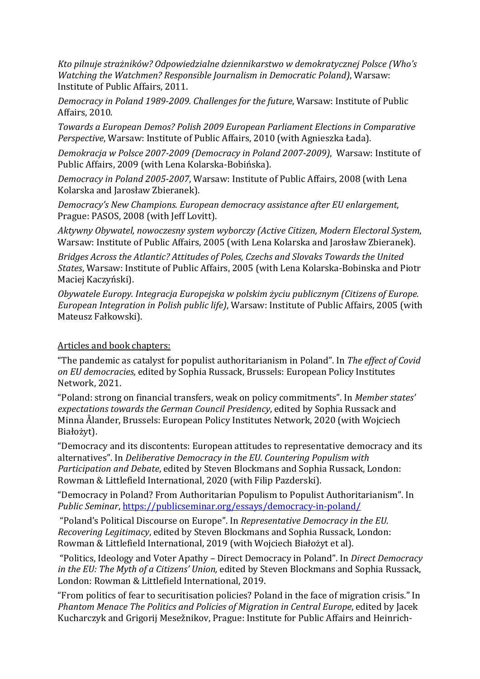*Kto pilnuje strażników? Odpowiedzialne dziennikarstwo w demokratycznej Polsce (Who's Watching the Watchmen? Responsible Journalism in Democratic Poland)*, Warsaw: Institute of Public Affairs, 2011.

*Democracy in Poland 1989-2009. Challenges for the future*, Warsaw: Institute of Public Affairs, 2010.

*Towards a European Demos? Polish 2009 European Parliament Elections in Comparative Perspective*, Warsaw: Institute of Public Affairs, 2010 (with Agnieszka Łada).

*Demokracja w Polsce 2007-2009 (Democracy in Poland 2007-2009)*, Warsaw: Institute of Public Affairs, 2009 (with Lena Kolarska-Bobińska).

*Democracy in Poland 2005-2007*, Warsaw: Institute of Public Affairs, 2008 (with Lena Kolarska and Jarosław Zbieranek).

*Democracy's New Champions. European democracy assistance after EU enlargement*, Prague: PASOS, 2008 (with Jeff Lovitt).

*Aktywny Obywatel, nowoczesny system wyborczy (Active Citizen, Modern Electoral System*, Warsaw: Institute of Public Affairs, 2005 (with Lena Kolarska and Jarosław Zbieranek).

*Bridges Across the Atlantic? Attitudes of Poles, Czechs and Slovaks Towards the United States*, Warsaw: Institute of Public Affairs, 2005 (with Lena Kolarska-Bobinska and Piotr Maciej Kaczyński).

*Obywatele Europy. Integracja Europejska w polskim życiu publicznym (Citizens of Europe. European Integration in Polish public life)*, Warsaw: Institute of Public Affairs, 2005 (with Mateusz Fałkowski).

#### Articles and book chapters:

"The pandemic as catalyst for populist authoritarianism in Poland". In *The effect of Covid on EU democracies,* edited by Sophia Russack, Brussels: European Policy Institutes Network, 2021.

"Poland: strong on financial transfers, weak on policy commitments". In *Member states' expectations towards the German Council Presidency*, edited by Sophia Russack and Minna Ålander, Brussels: European Policy Institutes Network, 2020 (with Wojciech Białożyt).

"Democracy and its discontents: European attitudes to representative democracy and its alternatives". In *Deliberative Democracy in the EU. Countering Populism with Participation and Debate*, edited by Steven Blockmans and Sophia Russack, London: Rowman & Littlefield International, 2020 (with Filip Pazderski).

"Democracy in Poland? From Authoritarian Populism to Populist Authoritarianism". In *Public Seminar*, https://publicseminar.org/essays/democracy-in-poland/

"Poland's Political Discourse on Europe". In *Representative Democracy in the EU. Recovering Legitimacy*, edited by Steven Blockmans and Sophia Russack, London: Rowman & Littlefield International, 2019 (with Wojciech Białożyt et al).

"Politics, Ideology and Voter Apathy – Direct Democracy in Poland". In *Direct Democracy in the EU: The Myth of a Citizens' Union,* edited by Steven Blockmans and Sophia Russack, London: Rowman & Littlefield International, 2019.

"From politics of fear to securitisation policies? Poland in the face of migration crisis." In *Phantom Menace The Politics and Policies of Migration in Central Europe*, edited by Jacek Kucharczyk and Grigorij Mesežnikov, Prague: Institute for Public Affairs and Heinrich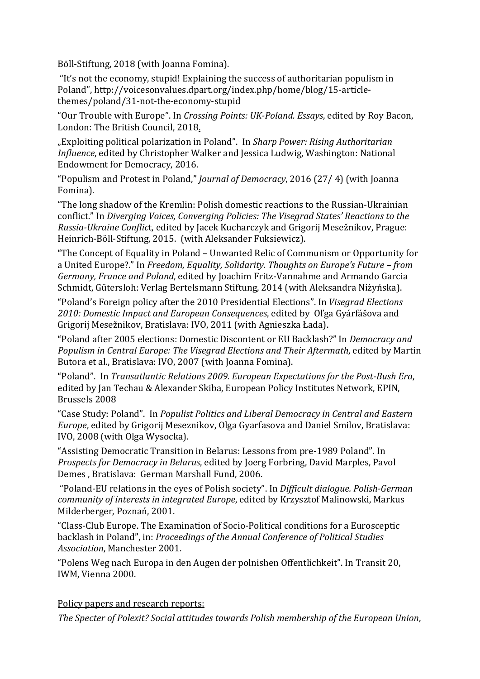Böll-Stiftung, 2018 (with Joanna Fomina).

"It's not the economy, stupid! Explaining the success of authoritarian populism in Poland", http://voicesonvalues.dpart.org/index.php/home/blog/15-articlethemes/poland/31-not-the-economy-stupid

"Our Trouble with Europe". In *Crossing Points: UK-Poland. Essays*, edited by Roy Bacon, London: The British Council, 2018.

"Exploiting political polarization in Poland". In *Sharp Power: Rising Authoritarian Influence*, edited by Christopher Walker and Jessica Ludwig, Washington: National Endowment for Democracy, 2016.

"Populism and Protest in Poland," *Journal of Democracy*, 2016 (27/ 4) (with Joanna Fomina).

"The long shadow of the Kremlin: Polish domestic reactions to the Russian-Ukrainian conflict." In *Diverging Voices, Converging Policies: The Visegrad States' Reactions to the Russia-Ukraine Conflic*t, edited by Jacek Kucharczyk and Grigorij Mesežnikov, Prague: Heinrich-Böll-Stiftung, 2015. (with Aleksander Fuksiewicz).

"The Concept of Equality in Poland – Unwanted Relic of Communism or Opportunity for a United Europe?." In *Freedom, Equality, Solidarity. Thoughts on Europe's Future – from Germany, France and Poland*, edited by Joachim Fritz-Vannahme and Armando Garcia Schmidt, Gütersloh: Verlag Bertelsmann Stiftung, 2014 (with Aleksandra Niżyńska).

"Poland's Foreign policy after the 2010 Presidential Elections". In *Visegrad Elections 2010: Domestic Impact and European Consequences*, edited by Oľga Gyárfášova and Grigorij Mesežnikov, Bratislava: IVO, 2011 (with Agnieszka Łada).

"Poland after 2005 elections: Domestic Discontent or EU Backlash?" In *Democracy and Populism in Central Europe: The Visegrad Elections and Their Aftermath*, edited by Martin Butora et al., Bratislava: IVO, 2007 (with Joanna Fomina).

"Poland". In *Transatlantic Relations 2009. European Expectations for the Post-Bush Era*, edited by Jan Techau & Alexander Skiba, European Policy Institutes Network, EPIN, Brussels 2008

"Case Study: Poland". In *Populist Politics and Liberal Democracy in Central and Eastern Europe*, edited by Grigorij Meseznikov, Olga Gyarfasova and Daniel Smilov, Bratislava: IVO, 2008 (with Olga Wysocka).

"Assisting Democratic Transition in Belarus: Lessons from pre-1989 Poland". In *Prospects for Democracy in Belarus*, edited by Joerg Forbring, David Marples, Pavol Demes , Bratislava: German Marshall Fund, 2006.

"Poland-EU relations in the eyes of Polish society". In *Difficult dialogue. Polish-German community of interests in integrated Europe*, edited by Krzysztof Malinowski, Markus Milderberger, Poznań, 2001.

"Class-Club Europe. The Examination of Socio-Political conditions for a Eurosceptic backlash in Poland", in: *Proceedings of the Annual Conference of Political Studies Association*, Manchester 2001.

"Polens Weg nach Europa in den Augen der polnishen Offentlichkeit". In Transit 20, IWM, Vienna 2000.

Policy papers and research reports:

*The Specter of Polexit? Social attitudes towards Polish membership of the European Union*,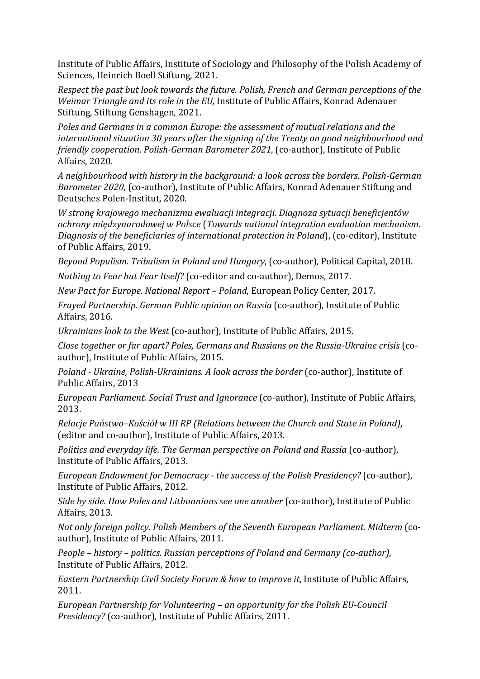Institute of Public Affairs, Institute of Sociology and Philosophy of the Polish Academy of Sciences, Heinrich Boell Stiftung, 2021.

*Respect the past but look towards the future. Polish, French and German perceptions of the Weimar Triangle and its role in the EU,* Institute of Public Affairs, Konrad Adenauer Stiftung, Stiftung Genshagen, 2021.

*Poles and Germans in a common Europe: the assessment of mutual relations and the international situation 30 years after the signing of the Treaty on good neighbourhood and friendly cooperation*. *Polish-German Barometer 2021*, (co-author), Institute of Public Affairs, 2020.

*A neighbourhood with history in the background: a look across the borders*. *Polish-German Barometer 2020*, (co-author), Institute of Public Affairs, Konrad Adenauer Stiftung and Deutsches Polen-Institut, 2020.

*W stronę krajowego mechanizmu ewaluacji integracji. Diagnoza sytuacji beneficjentów ochrony międzynarodowej w Polsce* (*Towards national integration evaluation mechanism. Diagnosis of the beneficiaries of international protection in Poland*), (co-editor), Institute of Public Affairs, 2019.

*Beyond Populism. Tribalism in Poland and Hungary*, (co-author), Political Capital, 2018.

*Nothing to Fear but Fear Itself?* (co-editor and co-author), Demos, 2017.

*New Pact for Europe. National Report – Poland*, European Policy Center, 2017.

*Frayed Partnership. German Public opinion on Russia* (co-author), Institute of Public Affairs, 2016.

*Ukrainians look to the West* (co-author), Institute of Public Affairs, 2015.

*Close together or far apart? Poles, Germans and Russians on the Russia-Ukraine crisis* (coauthor), Institute of Public Affairs, 2015.

*Poland - Ukraine, Polish-Ukrainians. A look across the border* (co-author), Institute of Public Affairs, 2013

*European Parliament. Social Trust and Ignorance* (co-author), Institute of Public Affairs, 2013.

*Relacje Państwo–Kościół w III RP (Relations between the Church and State in Poland)*, (editor and co-author), Institute of Public Affairs, 2013.

*Politics and everyday life. The German perspective on Poland and Russia* (co-author), Institute of Public Affairs, 2013.

*European Endowment for Democracy - the success of the Polish Presidency?* (co-author), Institute of Public Affairs, 2012.

*Side by side. How Poles and Lithuanians see one another* (co-author), Institute of Public Affairs, 2013.

*Not only foreign policy. Polish Members of the Seventh European Parliament. Midterm* (coauthor), Institute of Public Affairs, 2011.

*People – history – politics. Russian perceptions of Poland and Germany (co-author)*, Institute of Public Affairs, 2012.

*Eastern Partnership Civil Society Forum & how to improve it*, Institute of Public Affairs, 2011.

*European Partnership for Volunteering – an opportunity for the Polish EU-Council Presidency?* (co-author), Institute of Public Affairs, 2011.